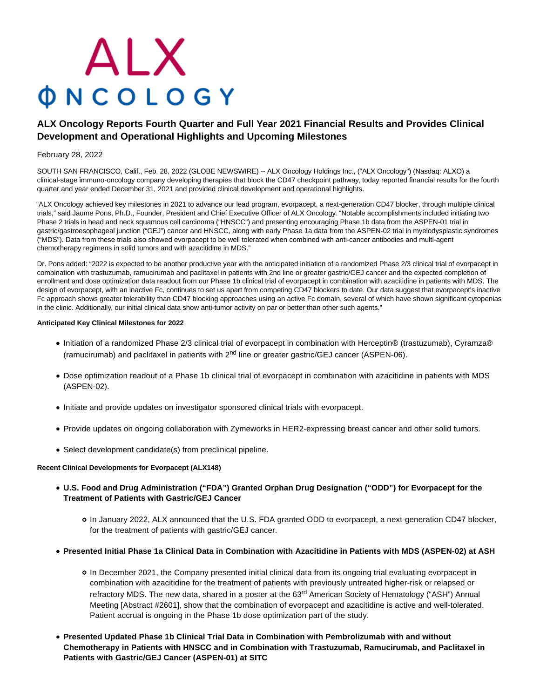# ALX **ONCOLOGY**

# **ALX Oncology Reports Fourth Quarter and Full Year 2021 Financial Results and Provides Clinical Development and Operational Highlights and Upcoming Milestones**

# February 28, 2022

SOUTH SAN FRANCISCO, Calif., Feb. 28, 2022 (GLOBE NEWSWIRE) -- ALX Oncology Holdings Inc., ("ALX Oncology") (Nasdaq: ALXO) a clinical-stage immuno-oncology company developing therapies that block the CD47 checkpoint pathway, today reported financial results for the fourth quarter and year ended December 31, 2021 and provided clinical development and operational highlights.

"ALX Oncology achieved key milestones in 2021 to advance our lead program, evorpacept, a next-generation CD47 blocker, through multiple clinical trials," said Jaume Pons, Ph.D., Founder, President and Chief Executive Officer of ALX Oncology. "Notable accomplishments included initiating two Phase 2 trials in head and neck squamous cell carcinoma ("HNSCC") and presenting encouraging Phase 1b data from the ASPEN-01 trial in gastric/gastroesophageal junction ("GEJ") cancer and HNSCC, along with early Phase 1a data from the ASPEN-02 trial in myelodysplastic syndromes ("MDS"). Data from these trials also showed evorpacept to be well tolerated when combined with anti-cancer antibodies and multi-agent chemotherapy regimens in solid tumors and with azacitidine in MDS."

Dr. Pons added: "2022 is expected to be another productive year with the anticipated initiation of a randomized Phase 2/3 clinical trial of evorpacept in combination with trastuzumab, ramucirumab and paclitaxel in patients with 2nd line or greater gastric/GEJ cancer and the expected completion of enrollment and dose optimization data readout from our Phase 1b clinical trial of evorpacept in combination with azacitidine in patients with MDS. The design of evorpacept, with an inactive Fc, continues to set us apart from competing CD47 blockers to date. Our data suggest that evorpacept's inactive Fc approach shows greater tolerability than CD47 blocking approaches using an active Fc domain, several of which have shown significant cytopenias in the clinic. Additionally, our initial clinical data show anti-tumor activity on par or better than other such agents."

## **Anticipated Key Clinical Milestones for 2022**

- Initiation of a randomized Phase 2/3 clinical trial of evorpacept in combination with Herceptin® (trastuzumab), Cyramza® (ramucirumab) and paclitaxel in patients with  $2<sup>nd</sup>$  line or greater gastric/GEJ cancer (ASPEN-06).
- Dose optimization readout of a Phase 1b clinical trial of evorpacept in combination with azacitidine in patients with MDS (ASPEN-02).
- Initiate and provide updates on investigator sponsored clinical trials with evorpacept.
- Provide updates on ongoing collaboration with Zymeworks in HER2-expressing breast cancer and other solid tumors.
- Select development candidate(s) from preclinical pipeline.

## **Recent Clinical Developments for Evorpacept (ALX148)**

- **U.S. Food and Drug Administration ("FDA") Granted Orphan Drug Designation ("ODD") for Evorpacept for the Treatment of Patients with Gastric/GEJ Cancer**
	- In January 2022, ALX announced that the U.S. FDA granted ODD to evorpacept, a next-generation CD47 blocker, for the treatment of patients with gastric/GEJ cancer.
- **Presented Initial Phase 1a Clinical Data in Combination with Azacitidine in Patients with MDS (ASPEN-02) at ASH**
	- In December 2021, the Company presented initial clinical data from its ongoing trial evaluating evorpacept in combination with azacitidine for the treatment of patients with previously untreated higher-risk or relapsed or refractory MDS. The new data, shared in a poster at the 63<sup>rd</sup> American Society of Hematology ("ASH") Annual Meeting [Abstract #2601], show that the combination of evorpacept and azacitidine is active and well-tolerated. Patient accrual is ongoing in the Phase 1b dose optimization part of the study.
- **Presented Updated Phase 1b Clinical Trial Data in Combination with Pembrolizumab with and without Chemotherapy in Patients with HNSCC and in Combination with Trastuzumab, Ramucirumab, and Paclitaxel in Patients with Gastric/GEJ Cancer (ASPEN-01) at SITC**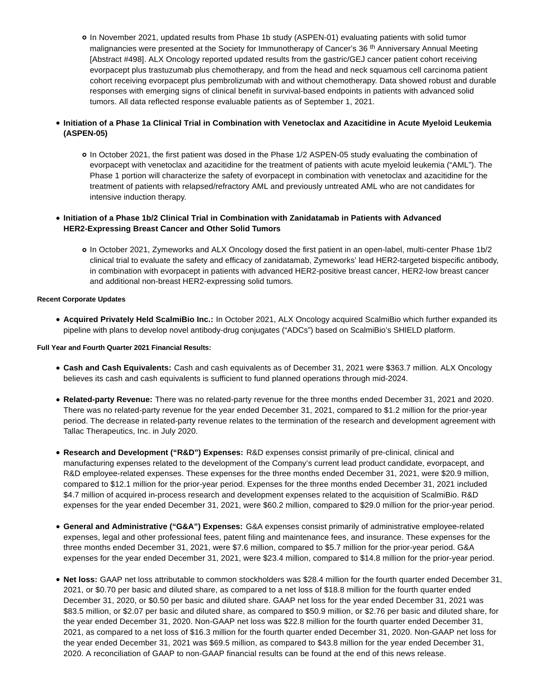In November 2021, updated results from Phase 1b study (ASPEN-01) evaluating patients with solid tumor malignancies were presented at the Society for Immunotherapy of Cancer's 36<sup>th</sup> Anniversary Annual Meeting [Abstract #498]. ALX Oncology reported updated results from the gastric/GEJ cancer patient cohort receiving evorpacept plus trastuzumab plus chemotherapy, and from the head and neck squamous cell carcinoma patient cohort receiving evorpacept plus pembrolizumab with and without chemotherapy. Data showed robust and durable responses with emerging signs of clinical benefit in survival-based endpoints in patients with advanced solid tumors. All data reflected response evaluable patients as of September 1, 2021.

# **Initiation of a Phase 1a Clinical Trial in Combination with Venetoclax and Azacitidine in Acute Myeloid Leukemia (ASPEN-05)**

In October 2021, the first patient was dosed in the Phase 1/2 ASPEN-05 study evaluating the combination of evorpacept with venetoclax and azacitidine for the treatment of patients with acute myeloid leukemia ("AML"). The Phase 1 portion will characterize the safety of evorpacept in combination with venetoclax and azacitidine for the treatment of patients with relapsed/refractory AML and previously untreated AML who are not candidates for intensive induction therapy.

# **Initiation of a Phase 1b/2 Clinical Trial in Combination with Zanidatamab in Patients with Advanced HER2-Expressing Breast Cancer and Other Solid Tumors**

In October 2021, Zymeworks and ALX Oncology dosed the first patient in an open-label, multi-center Phase 1b/2 clinical trial to evaluate the safety and efficacy of zanidatamab, Zymeworks' lead HER2-targeted bispecific antibody, in combination with evorpacept in patients with advanced HER2-positive breast cancer, HER2-low breast cancer and additional non-breast HER2-expressing solid tumors.

# **Recent Corporate Updates**

**Acquired Privately Held ScalmiBio Inc.:** In October 2021, ALX Oncology acquired ScalmiBio which further expanded its pipeline with plans to develop novel antibody-drug conjugates ("ADCs") based on ScalmiBio's SHIELD platform.

# **Full Year and Fourth Quarter 2021 Financial Results:**

- **Cash and Cash Equivalents:** Cash and cash equivalents as of December 31, 2021 were \$363.7 million. ALX Oncology believes its cash and cash equivalents is sufficient to fund planned operations through mid-2024.
- **Related-party Revenue:** There was no related-party revenue for the three months ended December 31, 2021 and 2020. There was no related-party revenue for the year ended December 31, 2021, compared to \$1.2 million for the prior-year period. The decrease in related-party revenue relates to the termination of the research and development agreement with Tallac Therapeutics, Inc. in July 2020.
- **Research and Development ("R&D") Expenses:** R&D expenses consist primarily of pre-clinical, clinical and manufacturing expenses related to the development of the Company's current lead product candidate, evorpacept, and R&D employee-related expenses. These expenses for the three months ended December 31, 2021, were \$20.9 million, compared to \$12.1 million for the prior-year period. Expenses for the three months ended December 31, 2021 included \$4.7 million of acquired in-process research and development expenses related to the acquisition of ScalmiBio. R&D expenses for the year ended December 31, 2021, were \$60.2 million, compared to \$29.0 million for the prior-year period.
- **General and Administrative ("G&A") Expenses:** G&A expenses consist primarily of administrative employee-related expenses, legal and other professional fees, patent filing and maintenance fees, and insurance. These expenses for the three months ended December 31, 2021, were \$7.6 million, compared to \$5.7 million for the prior-year period. G&A expenses for the year ended December 31, 2021, were \$23.4 million, compared to \$14.8 million for the prior-year period.
- **Net loss:** GAAP net loss attributable to common stockholders was \$28.4 million for the fourth quarter ended December 31, 2021, or \$0.70 per basic and diluted share, as compared to a net loss of \$18.8 million for the fourth quarter ended December 31, 2020, or \$0.50 per basic and diluted share. GAAP net loss for the year ended December 31, 2021 was \$83.5 million, or \$2.07 per basic and diluted share, as compared to \$50.9 million, or \$2.76 per basic and diluted share, for the year ended December 31, 2020. Non-GAAP net loss was \$22.8 million for the fourth quarter ended December 31, 2021, as compared to a net loss of \$16.3 million for the fourth quarter ended December 31, 2020. Non-GAAP net loss for the year ended December 31, 2021 was \$69.5 million, as compared to \$43.8 million for the year ended December 31, 2020. A reconciliation of GAAP to non-GAAP financial results can be found at the end of this news release.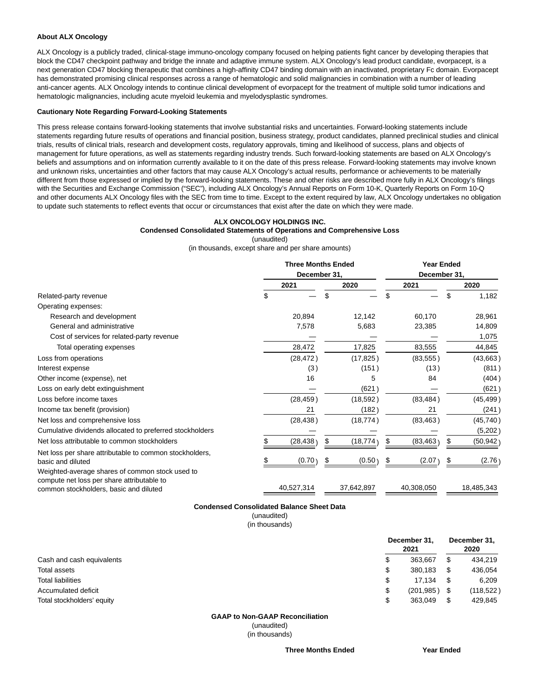## **About ALX Oncology**

ALX Oncology is a publicly traded, clinical-stage immuno-oncology company focused on helping patients fight cancer by developing therapies that block the CD47 checkpoint pathway and bridge the innate and adaptive immune system. ALX Oncology's lead product candidate, evorpacept, is a next generation CD47 blocking therapeutic that combines a high-affinity CD47 binding domain with an inactivated, proprietary Fc domain. Evorpacept has demonstrated promising clinical responses across a range of hematologic and solid malignancies in combination with a number of leading anti-cancer agents. ALX Oncology intends to continue clinical development of evorpacept for the treatment of multiple solid tumor indications and hematologic malignancies, including acute myeloid leukemia and myelodysplastic syndromes.

#### **Cautionary Note Regarding Forward-Looking Statements**

This press release contains forward-looking statements that involve substantial risks and uncertainties. Forward-looking statements include statements regarding future results of operations and financial position, business strategy, product candidates, planned preclinical studies and clinical trials, results of clinical trials, research and development costs, regulatory approvals, timing and likelihood of success, plans and objects of management for future operations, as well as statements regarding industry trends. Such forward-looking statements are based on ALX Oncology's beliefs and assumptions and on information currently available to it on the date of this press release. Forward-looking statements may involve known and unknown risks, uncertainties and other factors that may cause ALX Oncology's actual results, performance or achievements to be materially different from those expressed or implied by the forward-looking statements. These and other risks are described more fully in ALX Oncology's filings with the Securities and Exchange Commission ("SEC"), including ALX Oncology's Annual Reports on Form 10-K, Quarterly Reports on Form 10-Q and other documents ALX Oncology files with the SEC from time to time. Except to the extent required by law, ALX Oncology undertakes no obligation to update such statements to reflect events that occur or circumstances that exist after the date on which they were made.

# **ALX ONCOLOGY HOLDINGS INC.**

## **Condensed Consolidated Statements of Operations and Comprehensive Loss**

(unaudited)

(in thousands, except share and per share amounts)

|                                                                                                                                         | <b>Three Months Ended</b><br>December 31, |            |      |            | <b>Year Ended</b><br>December 31, |            |      |            |  |
|-----------------------------------------------------------------------------------------------------------------------------------------|-------------------------------------------|------------|------|------------|-----------------------------------|------------|------|------------|--|
|                                                                                                                                         |                                           |            |      |            |                                   |            |      |            |  |
| Related-party revenue                                                                                                                   |                                           | 2021       | 2020 |            | 2021                              |            | 2020 |            |  |
|                                                                                                                                         |                                           |            |      |            |                                   |            |      | 1,182      |  |
| Operating expenses:                                                                                                                     |                                           |            |      |            |                                   |            |      |            |  |
| Research and development                                                                                                                |                                           | 20,894     |      | 12,142     |                                   | 60,170     |      | 28,961     |  |
| General and administrative                                                                                                              |                                           | 7,578      |      | 5,683      |                                   | 23,385     |      | 14,809     |  |
| Cost of services for related-party revenue                                                                                              |                                           |            |      |            |                                   |            |      | 1,075      |  |
| Total operating expenses                                                                                                                |                                           | 28,472     |      | 17,825     |                                   | 83,555     |      | 44,845     |  |
| Loss from operations                                                                                                                    |                                           | (28, 472)  |      | (17, 825)  |                                   | (83, 555)  |      | (43, 663)  |  |
| Interest expense                                                                                                                        |                                           | (3)        |      | (151)      |                                   | (13)       |      | (811)      |  |
| Other income (expense), net                                                                                                             |                                           | 16         |      | 5          |                                   | 84         |      | (404)      |  |
| Loss on early debt extinguishment                                                                                                       |                                           |            |      | (621)      |                                   |            |      | (621)      |  |
| Loss before income taxes                                                                                                                |                                           | (28, 459)  |      | (18, 592)  |                                   | (83, 484)  |      | (45, 499)  |  |
| Income tax benefit (provision)                                                                                                          |                                           | 21         |      | (182)      |                                   | 21         |      | (241)      |  |
| Net loss and comprehensive loss                                                                                                         |                                           | (28, 438)  |      | (18, 774)  |                                   | (83, 463)  |      | (45, 740)  |  |
| Cumulative dividends allocated to preferred stockholders                                                                                |                                           |            |      |            |                                   |            |      | (5,202)    |  |
| Net loss attributable to common stockholders                                                                                            |                                           | (28, 438)  |      | (18, 774)  | Ъ                                 | (83, 463)  |      | (50,942)   |  |
| Net loss per share attributable to common stockholders,<br>basic and diluted                                                            |                                           | (0.70)     | æ.   | (0.50)     | Ъ                                 | (2.07)     |      | (2.76)     |  |
| Weighted-average shares of common stock used to<br>compute net loss per share attributable to<br>common stockholders, basic and diluted |                                           | 40,527,314 |      | 37,642,897 |                                   | 40,308,050 |      | 18,485,343 |  |
|                                                                                                                                         |                                           |            |      |            |                                   |            |      |            |  |

#### **Condensed Consolidated Balance Sheet Data**

(unaudited) (in thousands)

**December 31, 2021 December 31, 2020** Cash and cash equivalents  $\sim$  363,667 \$ 434,219 Total assets \$ 380,183 \$ 436,054 Total liabilities \$ 17,134 \$ 6,209 Accumulated deficit 6 (201,985) 1 (118,522 ) 6 (201,985 ) 6 (118,522 ) 6 (201,985 ) 6 (118,522 ) 6 (118,522 ) Total stockholders' equity the stockholders' equity that the stockholders' equity the stockholders' equity that is a 429,845

#### **GAAP to Non-GAAP Reconciliation** (unaudited) (in thousands)

**Three Months Ended Year Ended**